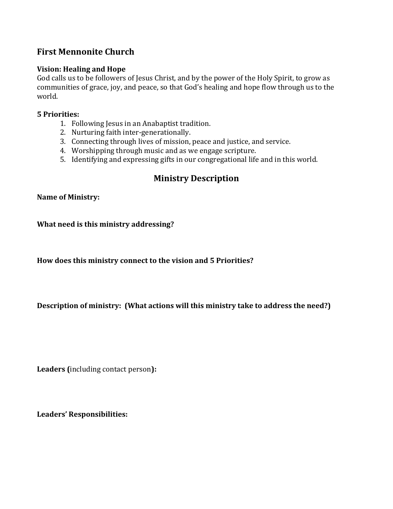## **First Mennonite Church**

## **Vision: Healing and Hope**

God calls us to be followers of Jesus Christ, and by the power of the Holy Spirit, to grow as communities of grace, joy, and peace, so that God's healing and hope flow through us to the world.

#### **5 Priorities:**

- 1. Following Jesus in an Anabaptist tradition.
- 2. Nurturing faith inter-generationally.
- 3. Connecting through lives of mission, peace and justice, and service.
- 4. Worshipping through music and as we engage scripture.
- 5. Identifying and expressing gifts in our congregational life and in this world.

# **Ministry Description**

## **Name of Ministry:**

**What need is this ministry addressing?**

**How does this ministry connect to the vision and 5 Priorities?**

**Description of ministry: (What actions will this ministry take to address the need?)**

**Leaders (**including contact person**):**

**Leaders' Responsibilities:**